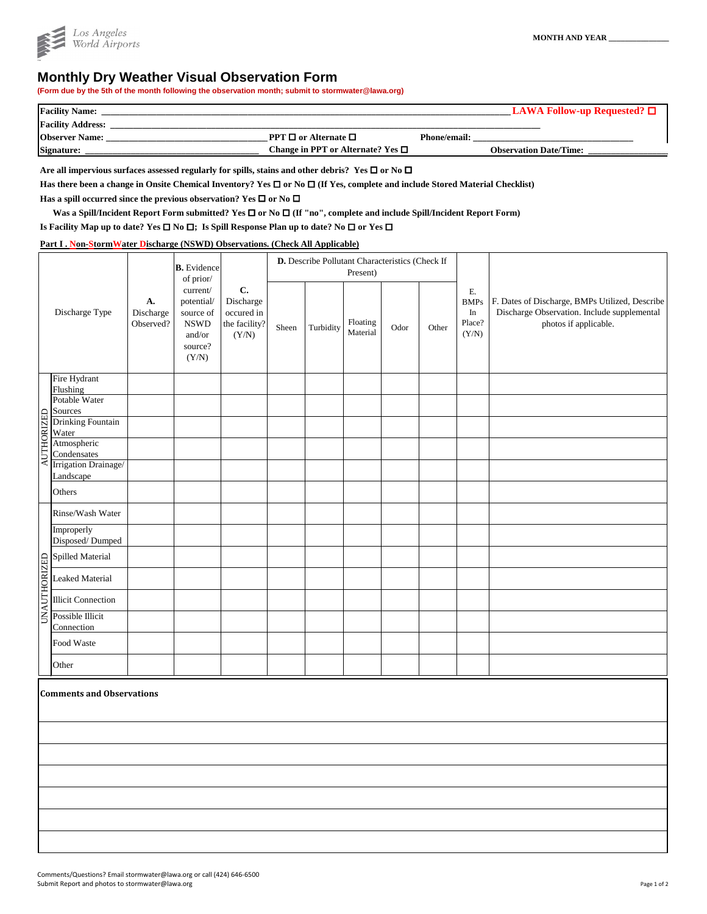## **Monthly Dry Weather Visual Observation Form**

**(Form due by the 5th of the month following the observation month; submit to stormwater@lawa.org)**



| <b>Facility Name:</b>    |                                        |                     | $\text{LAWA}$ Follow-up Requested? $\Box$ |
|--------------------------|----------------------------------------|---------------------|-------------------------------------------|
| <b>Facility Address:</b> |                                        |                     |                                           |
| <b>Observer Name:</b>    | <b>PPT</b> $\Box$ or Alternate $\Box$  | <b>Phone/email:</b> |                                           |
| Signature:               | Change in PPT or Alternate? Yes $\Box$ |                     | <b>Observation Date/Time:</b>             |

Are all impervious surfaces assessed regularly for spills, stains and other debris? Yes  $\Box$  or No  $\Box$ 

Has there been a change in Onsite Chemical Inventory? Yes □ or No □ (If Yes, complete and include Stored Material Checklist)

Has a spill occurred since the previous observation? Yes  $\Box$  or No  $\Box$ 

Was a Spill/Incident Report Form submitted? Yes □ or No □ (If "no", complete and include Spill/Incident Report Form)

**Is Facility Map up to date? Yes**  $\Box$  **No**  $\Box$ **; Is Spill Response Plan up to date? No**  $\Box$  **or Yes**  $\Box$ 

**Part I . Non-StormWater Discharge (NSWD) Observations. (Check All Applicable)**

|            |                                   | A.<br>Discharge<br>Observed? | <b>B.</b> Evidence<br>of prior/<br>current/<br>potential/<br>source of<br><b>NSWD</b><br>and/or<br>source?<br>(Y/N) | $\mathbf{C}$ .<br>Discharge<br>occured in<br>the facility?<br>(Y/N) | D. Describe Pollutant Characteristics (Check If<br>Present) |           |                      |      |       |                                            |                                                                                                                        |
|------------|-----------------------------------|------------------------------|---------------------------------------------------------------------------------------------------------------------|---------------------------------------------------------------------|-------------------------------------------------------------|-----------|----------------------|------|-------|--------------------------------------------|------------------------------------------------------------------------------------------------------------------------|
|            | Discharge Type                    |                              |                                                                                                                     |                                                                     | Sheen                                                       | Turbidity | Floating<br>Material | Odor | Other | E.<br><b>BMPs</b><br>In<br>Place?<br>(Y/N) | F. Dates of Discharge, BMPs Utilized, Describe<br>Discharge Observation. Include supplemental<br>photos if applicable. |
|            | Fire Hydrant                      |                              |                                                                                                                     |                                                                     |                                                             |           |                      |      |       |                                            |                                                                                                                        |
|            | Flushing<br>Potable Water         |                              |                                                                                                                     |                                                                     |                                                             |           |                      |      |       |                                            |                                                                                                                        |
|            | Sources                           |                              |                                                                                                                     |                                                                     |                                                             |           |                      |      |       |                                            |                                                                                                                        |
|            | <b>Drinking Fountain</b><br>Water |                              |                                                                                                                     |                                                                     |                                                             |           |                      |      |       |                                            |                                                                                                                        |
| AUTHORIZED | Atmospheric<br>Condensates        |                              |                                                                                                                     |                                                                     |                                                             |           |                      |      |       |                                            |                                                                                                                        |
|            | Irrigation Drainage/<br>Landscape |                              |                                                                                                                     |                                                                     |                                                             |           |                      |      |       |                                            |                                                                                                                        |
|            | Others                            |                              |                                                                                                                     |                                                                     |                                                             |           |                      |      |       |                                            |                                                                                                                        |

|  | Rinse/Wash Water                                                                                             |  |  |  |  |  |
|--|--------------------------------------------------------------------------------------------------------------|--|--|--|--|--|
|  | Improperly<br>Disposed/Dumped                                                                                |  |  |  |  |  |
|  |                                                                                                              |  |  |  |  |  |
|  |                                                                                                              |  |  |  |  |  |
|  | Spilled Material<br>Material<br>Leaked Material<br>El Illicit Connection<br>S Possible Illicit<br>Connection |  |  |  |  |  |
|  | Connection                                                                                                   |  |  |  |  |  |
|  | Food Waste                                                                                                   |  |  |  |  |  |
|  | Other                                                                                                        |  |  |  |  |  |
|  |                                                                                                              |  |  |  |  |  |
|  | <b>Comments and Observations</b>                                                                             |  |  |  |  |  |
|  |                                                                                                              |  |  |  |  |  |
|  |                                                                                                              |  |  |  |  |  |
|  |                                                                                                              |  |  |  |  |  |
|  |                                                                                                              |  |  |  |  |  |
|  |                                                                                                              |  |  |  |  |  |